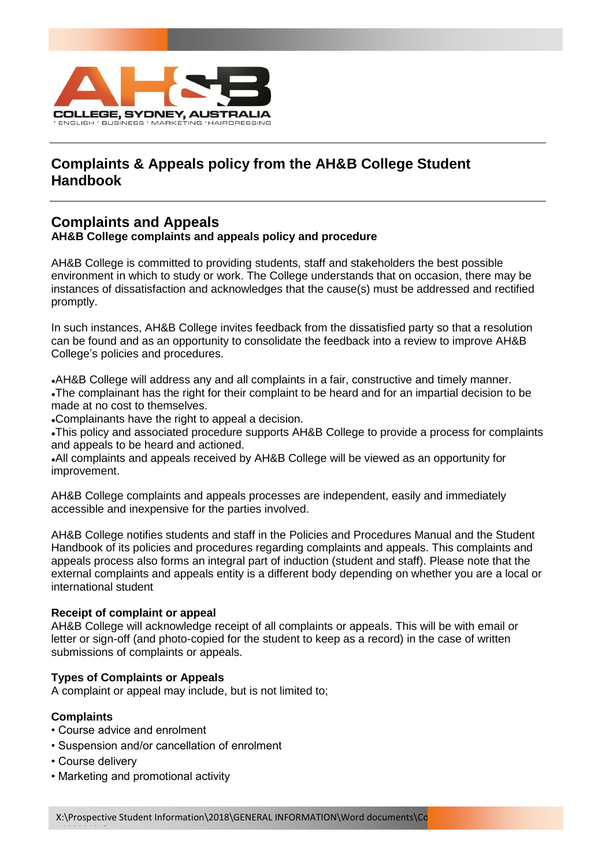

# **Complaints & Appeals policy from the AH&B College Student Handbook**

# **Complaints and Appeals**

### **AH&B College complaints and appeals policy and procedure**

AH&B College is committed to providing students, staff and stakeholders the best possible environment in which to study or work. The College understands that on occasion, there may be instances of dissatisfaction and acknowledges that the cause(s) must be addressed and rectified promptly.

In such instances, AH&B College invites feedback from the dissatisfied party so that a resolution can be found and as an opportunity to consolidate the feedback into a review to improve AH&B College's policies and procedures.

•AH&B College will address any and all complaints in a fair, constructive and timely manner. •The complainant has the right for their complaint to be heard and for an impartial decision to be made at no cost to themselves.

•Complainants have the right to appeal a decision.

. This policy and associated procedure supports AH&B College to provide a process for complaints and appeals to be heard and actioned.

●All complaints and appeals received by AH&B College will be viewed as an opportunity for improvement.

AH&B College complaints and appeals processes are independent, easily and immediately accessible and inexpensive for the parties involved.

AH&B College notifies students and staff in the Policies and Procedures Manual and the Student Handbook of its policies and procedures regarding complaints and appeals. This complaints and appeals process also forms an integral part of induction (student and staff). Please note that the external complaints and appeals entity is a different body depending on whether you are a local or international student

#### **Receipt of complaint or appeal**

AH&B College will acknowledge receipt of all complaints or appeals. This will be with email or letter or sign-off (and photo-copied for the student to keep as a record) in the case of written submissions of complaints or appeals.

## **Types of Complaints or Appeals**

A complaint or appeal may include, but is not limited to;

#### **Complaints**

- Course advice and enrolment
- Suspension and/or cancellation of enrolment
- Course delivery

V6032018.docx

• Marketing and promotional activity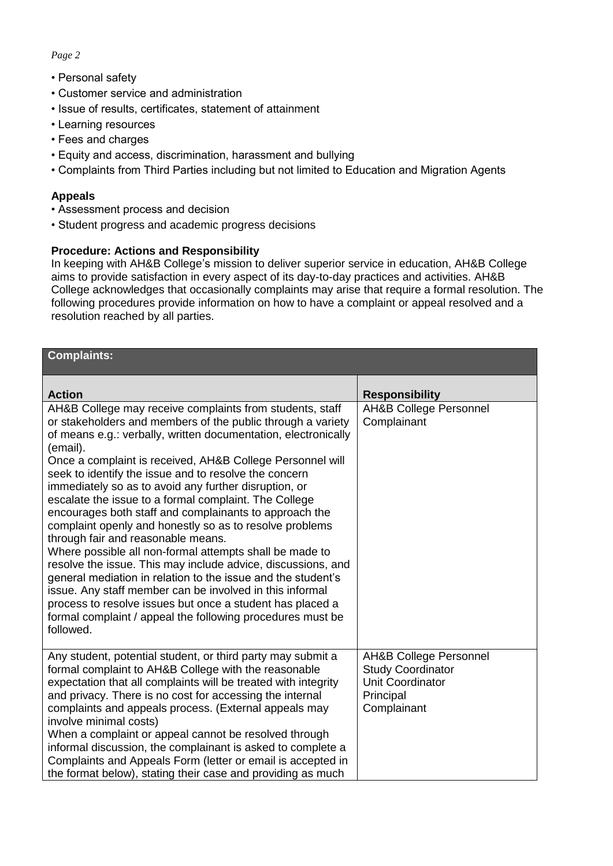#### *Page 2*

- Personal safety
- Customer service and administration
- Issue of results, certificates, statement of attainment
- Learning resources
- Fees and charges
- Equity and access, discrimination, harassment and bullying
- Complaints from Third Parties including but not limited to Education and Migration Agents

#### **Appeals**

- Assessment process and decision
- Student progress and academic progress decisions

### **Procedure: Actions and Responsibility**

In keeping with AH&B College's mission to deliver superior service in education, AH&B College aims to provide satisfaction in every aspect of its day-to-day practices and activities. AH&B College acknowledges that occasionally complaints may arise that require a formal resolution. The following procedures provide information on how to have a complaint or appeal resolved and a resolution reached by all parties.

| <b>Complaints:</b>                                                                                                                                                                                                                                                                                                                                                                                                                                                                                                                                                                                                                                                                                                                                                                                                                                                                                                                                                                                      |                                                                                                               |
|---------------------------------------------------------------------------------------------------------------------------------------------------------------------------------------------------------------------------------------------------------------------------------------------------------------------------------------------------------------------------------------------------------------------------------------------------------------------------------------------------------------------------------------------------------------------------------------------------------------------------------------------------------------------------------------------------------------------------------------------------------------------------------------------------------------------------------------------------------------------------------------------------------------------------------------------------------------------------------------------------------|---------------------------------------------------------------------------------------------------------------|
| <b>Action</b>                                                                                                                                                                                                                                                                                                                                                                                                                                                                                                                                                                                                                                                                                                                                                                                                                                                                                                                                                                                           | <b>Responsibility</b>                                                                                         |
| AH&B College may receive complaints from students, staff<br>or stakeholders and members of the public through a variety<br>of means e.g.: verbally, written documentation, electronically<br>(email).<br>Once a complaint is received, AH&B College Personnel will<br>seek to identify the issue and to resolve the concern<br>immediately so as to avoid any further disruption, or<br>escalate the issue to a formal complaint. The College<br>encourages both staff and complainants to approach the<br>complaint openly and honestly so as to resolve problems<br>through fair and reasonable means.<br>Where possible all non-formal attempts shall be made to<br>resolve the issue. This may include advice, discussions, and<br>general mediation in relation to the issue and the student's<br>issue. Any staff member can be involved in this informal<br>process to resolve issues but once a student has placed a<br>formal complaint / appeal the following procedures must be<br>followed. | <b>AH&amp;B College Personnel</b><br>Complainant                                                              |
| Any student, potential student, or third party may submit a<br>formal complaint to AH&B College with the reasonable<br>expectation that all complaints will be treated with integrity<br>and privacy. There is no cost for accessing the internal<br>complaints and appeals process. (External appeals may<br>involve minimal costs)<br>When a complaint or appeal cannot be resolved through<br>informal discussion, the complainant is asked to complete a<br>Complaints and Appeals Form (letter or email is accepted in<br>the format below), stating their case and providing as much                                                                                                                                                                                                                                                                                                                                                                                                              | <b>AH&amp;B College Personnel</b><br><b>Study Coordinator</b><br>Unit Coordinator<br>Principal<br>Complainant |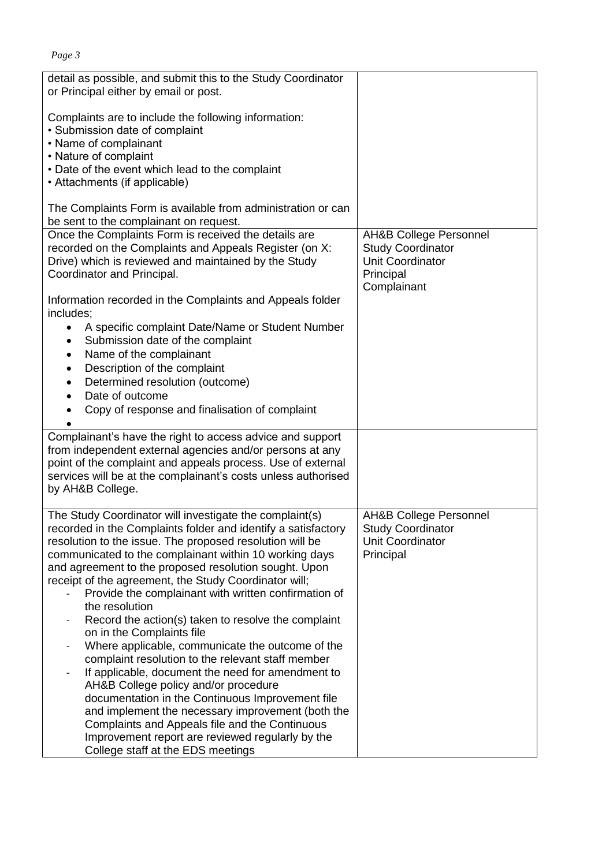| Page 3                                                                                                                                                                                               |                                                                                                       |
|------------------------------------------------------------------------------------------------------------------------------------------------------------------------------------------------------|-------------------------------------------------------------------------------------------------------|
| detail as possible, and submit this to the Study Coordinator<br>or Principal either by email or post.                                                                                                |                                                                                                       |
| Complaints are to include the following information:<br>• Submission date of complaint<br>• Name of complainant                                                                                      |                                                                                                       |
| • Nature of complaint                                                                                                                                                                                |                                                                                                       |
| • Date of the event which lead to the complaint                                                                                                                                                      |                                                                                                       |
| • Attachments (if applicable)                                                                                                                                                                        |                                                                                                       |
| The Complaints Form is available from administration or can<br>be sent to the complainant on request.                                                                                                |                                                                                                       |
| Once the Complaints Form is received the details are<br>recorded on the Complaints and Appeals Register (on X:<br>Drive) which is reviewed and maintained by the Study<br>Coordinator and Principal. | <b>AH&amp;B College Personnel</b><br><b>Study Coordinator</b><br><b>Unit Coordinator</b><br>Principal |
| Information recorded in the Complaints and Appeals folder<br>includes;                                                                                                                               | Complainant                                                                                           |
| A specific complaint Date/Name or Student Number                                                                                                                                                     |                                                                                                       |
| Submission date of the complaint<br>٠                                                                                                                                                                |                                                                                                       |
| Name of the complainant<br>٠                                                                                                                                                                         |                                                                                                       |
| Description of the complaint<br>$\bullet$                                                                                                                                                            |                                                                                                       |
| Determined resolution (outcome)                                                                                                                                                                      |                                                                                                       |
| Date of outcome                                                                                                                                                                                      |                                                                                                       |
| Copy of response and finalisation of complaint                                                                                                                                                       |                                                                                                       |
| Complainant's have the right to access advice and support                                                                                                                                            |                                                                                                       |
| from independent external agencies and/or persons at any                                                                                                                                             |                                                                                                       |
| point of the complaint and appeals process. Use of external<br>services will be at the complainant's costs unless authorised                                                                         |                                                                                                       |
| by AH&B College.                                                                                                                                                                                     |                                                                                                       |
|                                                                                                                                                                                                      |                                                                                                       |
| The Study Coordinator will investigate the complaint(s)<br>recorded in the Complaints folder and identify a satisfactory                                                                             | <b>AH&amp;B College Personnel</b><br><b>Study Coordinator</b>                                         |
| resolution to the issue. The proposed resolution will be                                                                                                                                             | Unit Coordinator                                                                                      |
| communicated to the complainant within 10 working days                                                                                                                                               | Principal                                                                                             |
| and agreement to the proposed resolution sought. Upon                                                                                                                                                |                                                                                                       |
| receipt of the agreement, the Study Coordinator will;<br>Provide the complainant with written confirmation of                                                                                        |                                                                                                       |
| the resolution                                                                                                                                                                                       |                                                                                                       |
| Record the action(s) taken to resolve the complaint                                                                                                                                                  |                                                                                                       |
| on in the Complaints file                                                                                                                                                                            |                                                                                                       |
| Where applicable, communicate the outcome of the                                                                                                                                                     |                                                                                                       |
| complaint resolution to the relevant staff member                                                                                                                                                    |                                                                                                       |

- If applicable, document the need for amendment to AH&B College policy and/or procedure documentation in the Continuous Improvement file and implement the necessary improvement (both the Complaints and Appeals file and the Continuous Improvement report are reviewed regularly by the College staff at the EDS meetings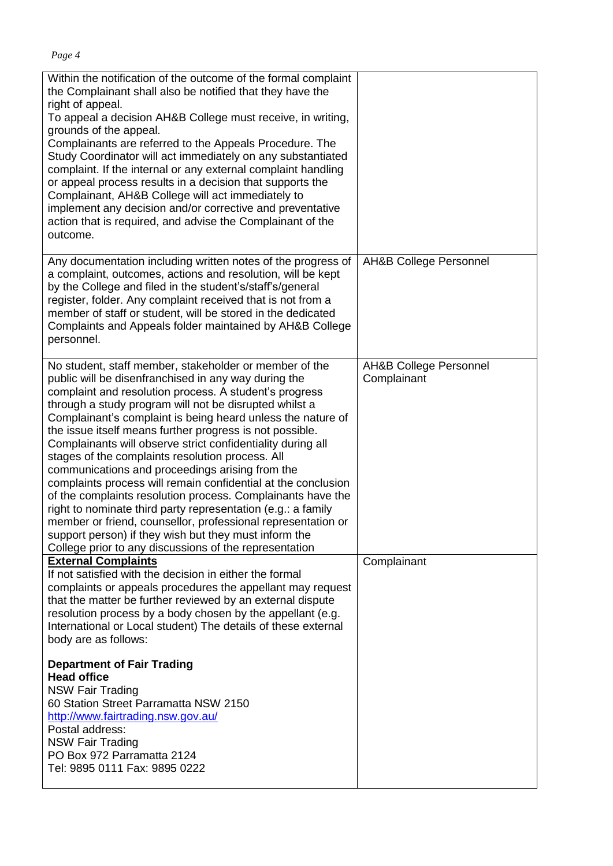| Within the notification of the outcome of the formal complaint<br>the Complainant shall also be notified that they have the<br>right of appeal.<br>To appeal a decision AH&B College must receive, in writing,<br>grounds of the appeal.<br>Complainants are referred to the Appeals Procedure. The<br>Study Coordinator will act immediately on any substantiated<br>complaint. If the internal or any external complaint handling<br>or appeal process results in a decision that supports the<br>Complainant, AH&B College will act immediately to<br>implement any decision and/or corrective and preventative<br>action that is required, and advise the Complainant of the<br>outcome.                                                                                                                                                                                                                           |                                                  |
|------------------------------------------------------------------------------------------------------------------------------------------------------------------------------------------------------------------------------------------------------------------------------------------------------------------------------------------------------------------------------------------------------------------------------------------------------------------------------------------------------------------------------------------------------------------------------------------------------------------------------------------------------------------------------------------------------------------------------------------------------------------------------------------------------------------------------------------------------------------------------------------------------------------------|--------------------------------------------------|
| Any documentation including written notes of the progress of<br>a complaint, outcomes, actions and resolution, will be kept<br>by the College and filed in the student's/staff's/general<br>register, folder. Any complaint received that is not from a<br>member of staff or student, will be stored in the dedicated<br>Complaints and Appeals folder maintained by AH&B College<br>personnel.                                                                                                                                                                                                                                                                                                                                                                                                                                                                                                                       | AH&B College Personnel                           |
| No student, staff member, stakeholder or member of the<br>public will be disenfranchised in any way during the<br>complaint and resolution process. A student's progress<br>through a study program will not be disrupted whilst a<br>Complainant's complaint is being heard unless the nature of<br>the issue itself means further progress is not possible.<br>Complainants will observe strict confidentiality during all<br>stages of the complaints resolution process. All<br>communications and proceedings arising from the<br>complaints process will remain confidential at the conclusion<br>of the complaints resolution process. Complainants have the<br>right to nominate third party representation (e.g.: a family<br>member or friend, counsellor, professional representation or<br>support person) if they wish but they must inform the<br>College prior to any discussions of the representation | <b>AH&amp;B College Personnel</b><br>Complainant |
| <b>External Complaints</b><br>If not satisfied with the decision in either the formal<br>complaints or appeals procedures the appellant may request<br>that the matter be further reviewed by an external dispute<br>resolution process by a body chosen by the appellant (e.g.<br>International or Local student) The details of these external<br>body are as follows:                                                                                                                                                                                                                                                                                                                                                                                                                                                                                                                                               | Complainant                                      |
| <b>Department of Fair Trading</b><br><b>Head office</b><br><b>NSW Fair Trading</b><br>60 Station Street Parramatta NSW 2150<br>http://www.fairtrading.nsw.gov.au/<br>Postal address:<br><b>NSW Fair Trading</b><br>PO Box 972 Parramatta 2124<br>Tel: 9895 0111 Fax: 9895 0222                                                                                                                                                                                                                                                                                                                                                                                                                                                                                                                                                                                                                                         |                                                  |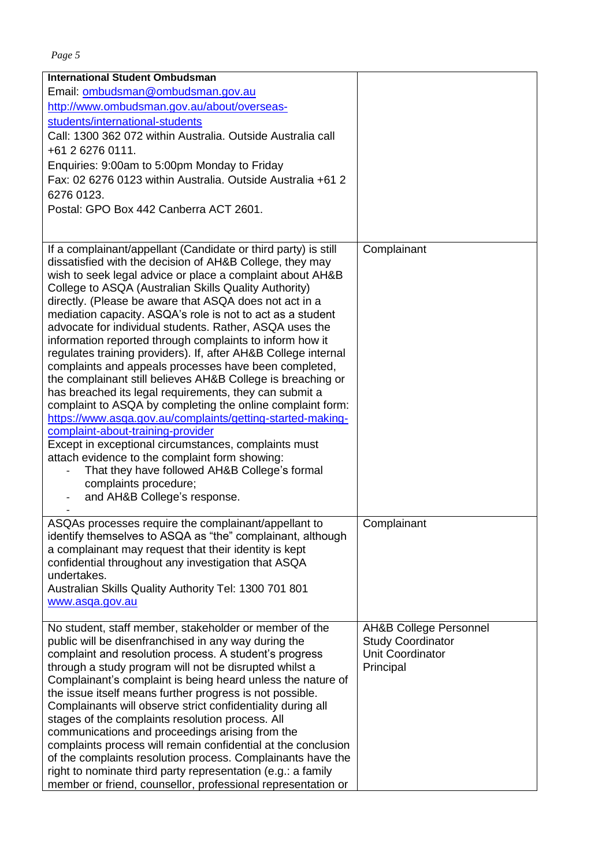|--|--|

| <b>International Student Ombudsman</b>                         |                                   |
|----------------------------------------------------------------|-----------------------------------|
| Email: ombudsman@ombudsman.gov.au                              |                                   |
| http://www.ombudsman.gov.au/about/overseas-                    |                                   |
| students/international-students                                |                                   |
| Call: 1300 362 072 within Australia. Outside Australia call    |                                   |
| +61 2 6276 0111.                                               |                                   |
|                                                                |                                   |
| Enquiries: 9:00am to 5:00pm Monday to Friday                   |                                   |
| Fax: 02 6276 0123 within Australia. Outside Australia +61 2    |                                   |
| 6276 0123.                                                     |                                   |
| Postal: GPO Box 442 Canberra ACT 2601.                         |                                   |
|                                                                |                                   |
| If a complainant/appellant (Candidate or third party) is still | Complainant                       |
| dissatisfied with the decision of AH&B College, they may       |                                   |
| wish to seek legal advice or place a complaint about AH&B      |                                   |
| College to ASQA (Australian Skills Quality Authority)          |                                   |
| directly. (Please be aware that ASQA does not act in a         |                                   |
| mediation capacity. ASQA's role is not to act as a student     |                                   |
| advocate for individual students. Rather, ASQA uses the        |                                   |
| information reported through complaints to inform how it       |                                   |
| regulates training providers). If, after AH&B College internal |                                   |
| complaints and appeals processes have been completed,          |                                   |
| the complainant still believes AH&B College is breaching or    |                                   |
| has breached its legal requirements, they can submit a         |                                   |
| complaint to ASQA by completing the online complaint form:     |                                   |
| https://www.asqa.gov.au/complaints/getting-started-making-     |                                   |
| complaint-about-training-provider                              |                                   |
| Except in exceptional circumstances, complaints must           |                                   |
| attach evidence to the complaint form showing:                 |                                   |
| That they have followed AH&B College's formal                  |                                   |
| complaints procedure;                                          |                                   |
| and AH&B College's response.                                   |                                   |
|                                                                |                                   |
| ASQAs processes require the complainant/appellant to           | Complainant                       |
| identify themselves to ASQA as "the" complainant, although     |                                   |
| a complainant may request that their identity is kept          |                                   |
| confidential throughout any investigation that ASQA            |                                   |
| undertakes.                                                    |                                   |
| Australian Skills Quality Authority Tel: 1300 701 801          |                                   |
| www.asqa.gov.au                                                |                                   |
| No student, staff member, stakeholder or member of the         | <b>AH&amp;B College Personnel</b> |
| public will be disenfranchised in any way during the           | <b>Study Coordinator</b>          |
| complaint and resolution process. A student's progress         | Unit Coordinator                  |
| through a study program will not be disrupted whilst a         | Principal                         |
| Complainant's complaint is being heard unless the nature of    |                                   |
| the issue itself means further progress is not possible.       |                                   |
| Complainants will observe strict confidentiality during all    |                                   |
| stages of the complaints resolution process. All               |                                   |
| communications and proceedings arising from the                |                                   |
| complaints process will remain confidential at the conclusion  |                                   |
| of the complaints resolution process. Complainants have the    |                                   |
| right to nominate third party representation (e.g.: a family   |                                   |
| member or friend, counsellor, professional representation or   |                                   |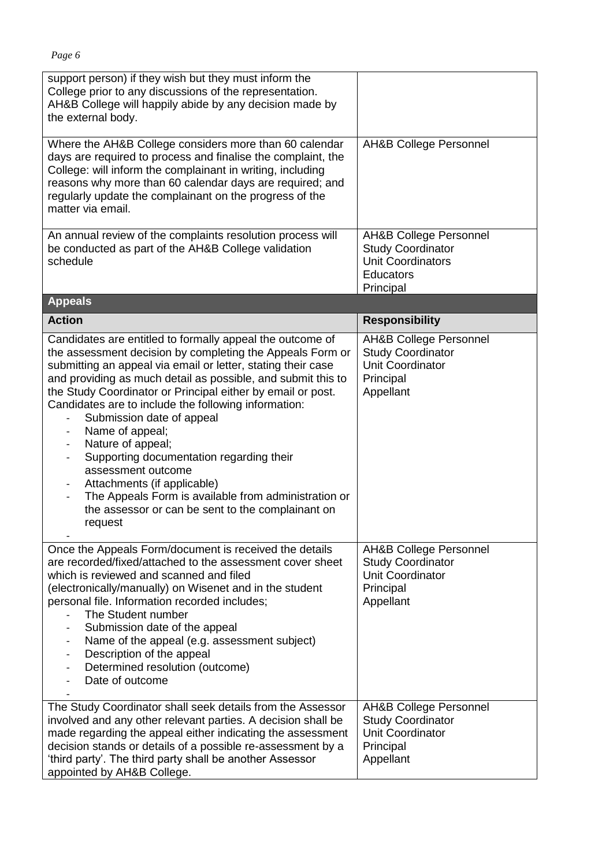| support person) if they wish but they must inform the<br>College prior to any discussions of the representation.<br>AH&B College will happily abide by any decision made by<br>the external body.                                                                                                                                                                                                                                                                                                                                                                                                                                                                                                                                                               |                                                                                                                            |
|-----------------------------------------------------------------------------------------------------------------------------------------------------------------------------------------------------------------------------------------------------------------------------------------------------------------------------------------------------------------------------------------------------------------------------------------------------------------------------------------------------------------------------------------------------------------------------------------------------------------------------------------------------------------------------------------------------------------------------------------------------------------|----------------------------------------------------------------------------------------------------------------------------|
| Where the AH&B College considers more than 60 calendar<br>days are required to process and finalise the complaint, the<br>College: will inform the complainant in writing, including<br>reasons why more than 60 calendar days are required; and<br>regularly update the complainant on the progress of the<br>matter via email.                                                                                                                                                                                                                                                                                                                                                                                                                                | <b>AH&amp;B College Personnel</b>                                                                                          |
| An annual review of the complaints resolution process will<br>be conducted as part of the AH&B College validation<br>schedule                                                                                                                                                                                                                                                                                                                                                                                                                                                                                                                                                                                                                                   | <b>AH&amp;B College Personnel</b><br><b>Study Coordinator</b><br><b>Unit Coordinators</b><br><b>Educators</b><br>Principal |
| <b>Appeals</b>                                                                                                                                                                                                                                                                                                                                                                                                                                                                                                                                                                                                                                                                                                                                                  |                                                                                                                            |
| <b>Action</b>                                                                                                                                                                                                                                                                                                                                                                                                                                                                                                                                                                                                                                                                                                                                                   | <b>Responsibility</b>                                                                                                      |
| Candidates are entitled to formally appeal the outcome of<br>the assessment decision by completing the Appeals Form or<br>submitting an appeal via email or letter, stating their case<br>and providing as much detail as possible, and submit this to<br>the Study Coordinator or Principal either by email or post.<br>Candidates are to include the following information:<br>Submission date of appeal<br>Name of appeal;<br>$\overline{\phantom{a}}$<br>Nature of appeal;<br>$\overline{\phantom{a}}$<br>Supporting documentation regarding their<br>$\overline{\phantom{a}}$<br>assessment outcome<br>Attachments (if applicable)<br>The Appeals Form is available from administration or<br>the assessor or can be sent to the complainant on<br>request | <b>AH&amp;B College Personnel</b><br><b>Study Coordinator</b><br>Unit Coordinator<br>Principal<br>Appellant                |
| Once the Appeals Form/document is received the details<br>are recorded/fixed/attached to the assessment cover sheet<br>which is reviewed and scanned and filed<br>(electronically/manually) on Wisenet and in the student<br>personal file. Information recorded includes;<br>The Student number<br>Submission date of the appeal<br>Name of the appeal (e.g. assessment subject)<br>$\overline{\phantom{a}}$<br>Description of the appeal<br>$\overline{\phantom{a}}$<br>Determined resolution (outcome)<br>Date of outcome                                                                                                                                                                                                                                    | <b>AH&amp;B College Personnel</b><br><b>Study Coordinator</b><br>Unit Coordinator<br>Principal<br>Appellant                |
| The Study Coordinator shall seek details from the Assessor<br>involved and any other relevant parties. A decision shall be<br>made regarding the appeal either indicating the assessment<br>decision stands or details of a possible re-assessment by a<br>'third party'. The third party shall be another Assessor<br>appointed by AH&B College.                                                                                                                                                                                                                                                                                                                                                                                                               | <b>AH&amp;B College Personnel</b><br><b>Study Coordinator</b><br>Unit Coordinator<br>Principal<br>Appellant                |

*Page 6*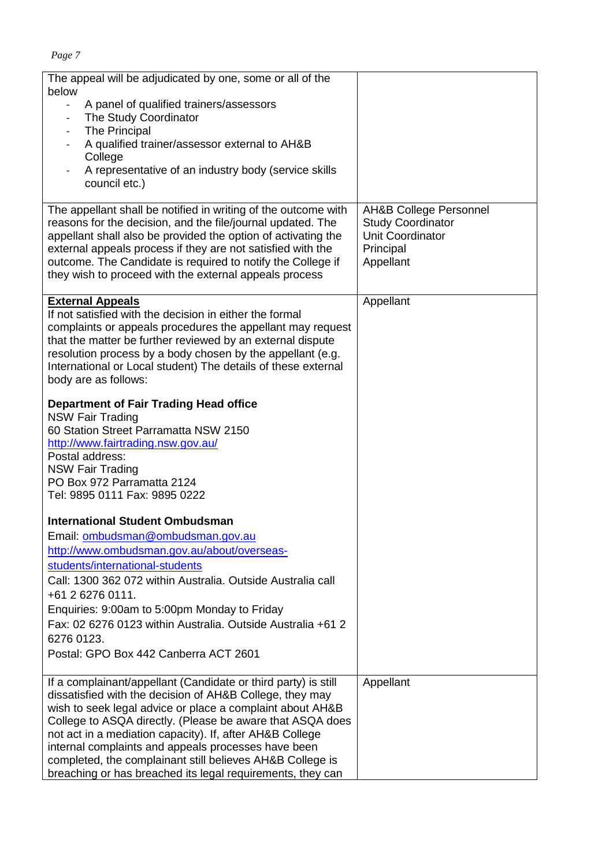| The appeal will be adjudicated by one, some or all of the<br>below<br>A panel of qualified trainers/assessors<br>$\sim$<br>The Study Coordinator<br>$\overline{\phantom{a}}$<br><b>The Principal</b><br>$\overline{\phantom{a}}$<br>A qualified trainer/assessor external to AH&B<br>College<br>A representative of an industry body (service skills<br>council etc.)<br>The appellant shall be notified in writing of the outcome with                                                            | <b>AH&amp;B College Personnel</b>                                      |
|----------------------------------------------------------------------------------------------------------------------------------------------------------------------------------------------------------------------------------------------------------------------------------------------------------------------------------------------------------------------------------------------------------------------------------------------------------------------------------------------------|------------------------------------------------------------------------|
| reasons for the decision, and the file/journal updated. The<br>appellant shall also be provided the option of activating the<br>external appeals process if they are not satisfied with the<br>outcome. The Candidate is required to notify the College if<br>they wish to proceed with the external appeals process                                                                                                                                                                               | <b>Study Coordinator</b><br>Unit Coordinator<br>Principal<br>Appellant |
| <b>External Appeals</b><br>If not satisfied with the decision in either the formal<br>complaints or appeals procedures the appellant may request<br>that the matter be further reviewed by an external dispute<br>resolution process by a body chosen by the appellant (e.g.<br>International or Local student) The details of these external<br>body are as follows:                                                                                                                              | Appellant                                                              |
| <b>Department of Fair Trading Head office</b><br><b>NSW Fair Trading</b><br>60 Station Street Parramatta NSW 2150<br>http://www.fairtrading.nsw.gov.au/<br>Postal address:<br><b>NSW Fair Trading</b><br>PO Box 972 Parramatta 2124<br>Tel: 9895 0111 Fax: 9895 0222                                                                                                                                                                                                                               |                                                                        |
| <b>International Student Ombudsman</b><br>Email: ombudsman@ombudsman.gov.au<br>http://www.ombudsman.gov.au/about/overseas-<br>students/international-students<br>Call: 1300 362 072 within Australia. Outside Australia call<br>+61 2 6276 0111.<br>Enquiries: 9:00am to 5:00pm Monday to Friday<br>Fax: 02 6276 0123 within Australia. Outside Australia +61 2<br>6276 0123.<br>Postal: GPO Box 442 Canberra ACT 2601                                                                             |                                                                        |
| If a complainant/appellant (Candidate or third party) is still<br>dissatisfied with the decision of AH&B College, they may<br>wish to seek legal advice or place a complaint about AH&B<br>College to ASQA directly. (Please be aware that ASQA does<br>not act in a mediation capacity). If, after AH&B College<br>internal complaints and appeals processes have been<br>completed, the complainant still believes AH&B College is<br>breaching or has breached its legal requirements, they can | Appellant                                                              |